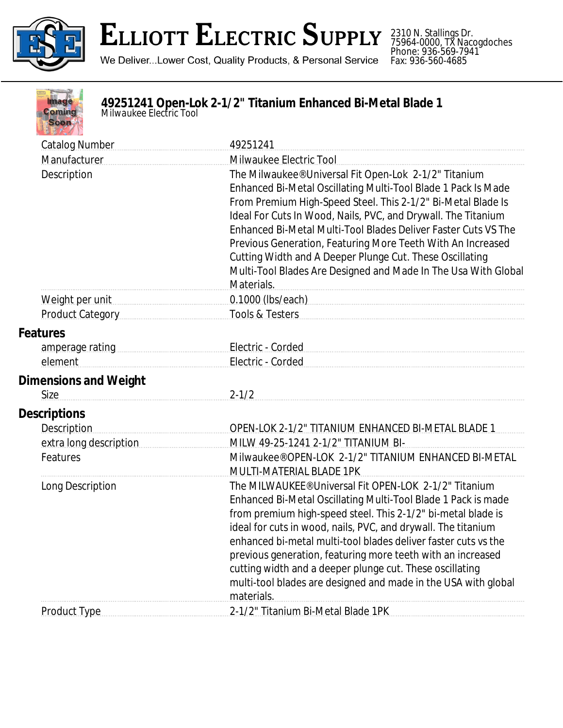

## **ELLIOTT ELECTRIC SUPPLY**

2310 N. Stallings Dr. 75964-0000, TX Nacogdoches Phone: 936-569-7941 Fax: 936-560-4685

We Deliver...Lower Cost, Quality Products, & Personal Service

| P.   |  |
|------|--|
| omin |  |
|      |  |
|      |  |

## **49251241 Open-Lok 2-1/2" Titanium Enhanced Bi-Metal Blade 1** *Milwaukee Electric Tool*

|  | <b>Catalog Number</b>                       | 49251241                                                                                                                      |
|--|---------------------------------------------|-------------------------------------------------------------------------------------------------------------------------------|
|  | Manufacturer                                | Milwaukee Electric Tool                                                                                                       |
|  | Description                                 | The Milwaukee® Universal Fit Open-Lok 2-1/2" Titanium                                                                         |
|  |                                             | Enhanced Bi-Metal Oscillating Multi-Tool Blade 1 Pack Is Made                                                                 |
|  |                                             | From Premium High-Speed Steel. This 2-1/2" Bi-Metal Blade Is                                                                  |
|  |                                             | Ideal For Cuts In Wood, Nails, PVC, and Drywall. The Titanium                                                                 |
|  |                                             | Enhanced Bi-Metal Multi-Tool Blades Deliver Faster Cuts VS The                                                                |
|  |                                             | Previous Generation, Featuring More Teeth With An Increased                                                                   |
|  |                                             | Cutting Width and A Deeper Plunge Cut. These Oscillating<br>Multi-Tool Blades Are Designed and Made In The Usa With Global    |
|  |                                             | Materials.                                                                                                                    |
|  |                                             | 0.1000 (lbs/each)                                                                                                             |
|  | <b>Product Category</b>                     | Tools & Testers                                                                                                               |
|  | <b>Features</b>                             |                                                                                                                               |
|  | amperage rating example and amperage rating | Electric - Corded                                                                                                             |
|  | element                                     | Electric - Corded                                                                                                             |
|  | <b>Dimensions and Weight</b>                |                                                                                                                               |
|  | Size                                        | $2 - 1/2$                                                                                                                     |
|  | <b>Descriptions</b>                         |                                                                                                                               |
|  | <b>Description</b>                          | OPEN-LOK 2-1/2" TITANIUM ENHANCED BI-METAL BLADE 1                                                                            |
|  | extra long description                      | MILW 49-25-1241 2-1/2" TITANIUM BI-                                                                                           |
|  | Features                                    | Milwaukee® OPEN-LOK 2-1/2" TITANIUM ENHANCED BI-METAL                                                                         |
|  |                                             | <b>MULTI-MATERIAL BLADE 1PK</b>                                                                                               |
|  | Long Description                            | The MILWAUKEE® Universal Fit OPEN-LOK 2-1/2" Titanium                                                                         |
|  |                                             | Enhanced Bi-Metal Oscillating Multi-Tool Blade 1 Pack is made                                                                 |
|  |                                             | from premium high-speed steel. This 2-1/2" bi-metal blade is                                                                  |
|  |                                             | ideal for cuts in wood, nails, PVC, and drywall. The titanium                                                                 |
|  |                                             | enhanced bi-metal multi-tool blades deliver faster cuts vs the<br>previous generation, featuring more teeth with an increased |
|  |                                             | cutting width and a deeper plunge cut. These oscillating                                                                      |
|  |                                             | multi-tool blades are designed and made in the USA with global                                                                |
|  |                                             | materials.                                                                                                                    |
|  | <b>Product Type</b>                         | 2-1/2" Titanium Bi-Metal Blade 1PK                                                                                            |
|  |                                             |                                                                                                                               |